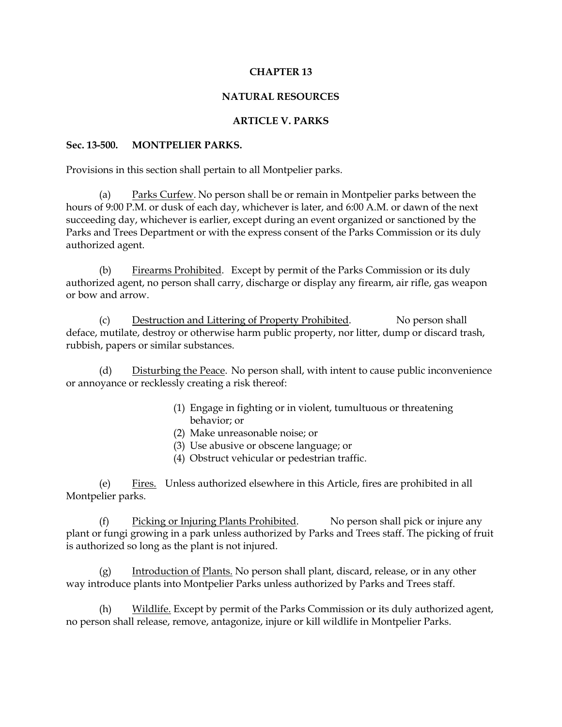## **CHAPTER 13**

## **NATURAL RESOURCES**

## **ARTICLE V. PARKS**

#### **Sec. 13-500. MONTPELIER PARKS.**

Provisions in this section shall pertain to all Montpelier parks.

(a) Parks Curfew. No person shall be or remain in Montpelier parks between the hours of 9:00 P.M. or dusk of each day, whichever is later, and 6:00 A.M. or dawn of the next succeeding day, whichever is earlier, except during an event organized or sanctioned by the Parks and Trees Department or with the express consent of the Parks Commission or its duly authorized agent.

(b) Firearms Prohibited. Except by permit of the Parks Commission or its duly authorized agent, no person shall carry, discharge or display any firearm, air rifle, gas weapon or bow and arrow.

(c) Destruction and Littering of Property Prohibited. No person shall deface, mutilate, destroy or otherwise harm public property, nor litter, dump or discard trash, rubbish, papers or similar substances.

(d) Disturbing the Peace. No person shall, with intent to cause public inconvenience or annoyance or recklessly creating a risk thereof:

- (1) Engage in fighting or in violent, tumultuous or threatening behavior; or
- (2) Make unreasonable noise; or
- (3) Use abusive or obscene language; or
- (4) Obstruct vehicular or pedestrian traffic.

(e) Fires. Unless authorized elsewhere in this Article, fires are prohibited in all Montpelier parks.

(f) Picking or Injuring Plants Prohibited. No person shall pick or injure any plant or fungi growing in a park unless authorized by Parks and Trees staff. The picking of fruit is authorized so long as the plant is not injured.

(g) Introduction of Plants. No person shall plant, discard, release, or in any other way introduce plants into Montpelier Parks unless authorized by Parks and Trees staff.

(h) Wildlife. Except by permit of the Parks Commission or its duly authorized agent, no person shall release, remove, antagonize, injure or kill wildlife in Montpelier Parks.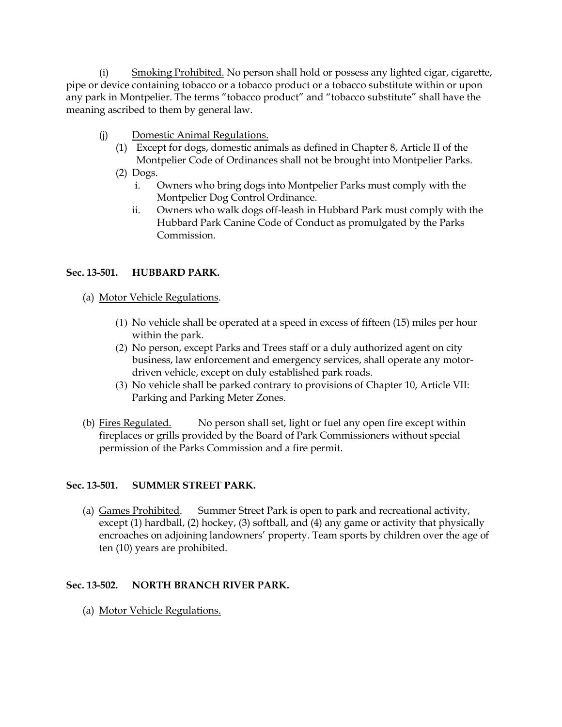(i) Smoking Prohibited. No person shall hold or possess any lighted cigar, cigarette, pipe or device containing tobacco or a tobacco product or a tobacco substitute within or upon any park in Montpelier. The terms "tobacco product" and "tobacco substitute" shall have the meaning ascribed to them by general law.

- (j) Domestic Animal Regulations.
	- (1) Except for dogs, domestic animals as defined in Chapter 8, Article II of the Montpelier Code of Ordinances shall not be brought into Montpelier Parks.
	- (2) Dogs.
		- i. Owners who bring dogs into Montpelier Parks must comply with the Montpelier Dog Control Ordinance.
		- ii. Owners who walk dogs off-leash in Hubbard Park must comply with the Hubbard Park Canine Code of Conduct as promulgated by the Parks Commission.

# **Sec. 13-501. HUBBARD PARK.**

- (a) Motor Vehicle Regulations.
	- (1) No vehicle shall be operated at a speed in excess of fifteen (15) miles per hour within the park.
	- (2) No person, except Parks and Trees staff or a duly authorized agent on city business, law enforcement and emergency services, shall operate any motordriven vehicle, except on duly established park roads.
	- (3) No vehicle shall be parked contrary to provisions of Chapter 10, Article VII: Parking and Parking Meter Zones.
- (b) Fires Regulated. No person shall set, light or fuel any open fire except within fireplaces or grills provided by the Board of Park Commissioners without special permission of the Parks Commission and a fire permit.

# **Sec. 13-501. SUMMER STREET PARK.**

(a) Games Prohibited. Summer Street Park is open to park and recreational activity, except (1) hardball, (2) hockey, (3) softball, and (4) any game or activity that physically encroaches on adjoining landowners' property. Team sports by children over the age of ten (10) years are prohibited.

# **Sec. 13-502. NORTH BRANCH RIVER PARK.**

(a) Motor Vehicle Regulations.